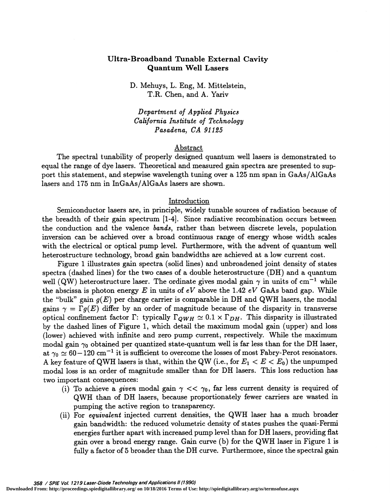# Ultra-Broadband Tunable External Cavity Quantum Well Lasers

D. Mehuys, L. Eng, M. Mitteistein, T.R. Chen, and A. Yariv

Department of Applied Physics California Imsiitute of Technology Pasadena, CA 91125

### Abstract

The spectral tunability of properly designed quantum well lasers is demonstrated to equal the range of dye lasers. Theoretical and measured gain spectra are presented to support this statement, and stepwise wavelength tuning over a 125 nm span in GaAs/A1GaAs lasers and 175 nm in InGaAs/A1GaAs lasers are shown.

### Introduction

Semiconductor lasers are, in principle, widely tunable sources of radiation because of the breadth of their gain spectrum [1-4]. Since radiative recombination occurs between the conduction and the valence bands, rather than between discrete levels, population inversion can be achieved over a broad continuous range of energy whose width scales with the electrical or optical pump level. Furthermore, with the advent of quantum well heterostructure technology, broad gain bandwidths are achieved at a low current cost.

Figure 1 illustrates gain spectra (solid lines) and unbroadened joint density of states spectra (dashed lines) for the two cases of a double heterostructure (DH) and a quantum well (QW) heterostructure laser. The ordinate gives modal gain  $\gamma$  in units of cm<sup>-1</sup> while the abscissa is photon energy E in units of eV above the 1.42 eV GaAs band gap. While the "bulk" gain  $g(E)$  per charge carrier is comparable in DH and QWH lasers, the modal gains  $\gamma = \Gamma q(E)$  differ by an order of magnitude because of the disparity in transverse optical confinement factor  $\Gamma$ : typically  $\Gamma_{OWH} \simeq 0.1 \times \Gamma_{DH}$ . This disparity is illustrated by the dashed lines of Figure 1, which detail the maximum modal gain (upper) and loss (lower) achieved with infinite and zero pump current, respectively. While the maximum modal gain  $\gamma_0$  obtained per quantized state-quantum well is far less than for the DH laser, at  $\gamma_0 \simeq 60 - 120$  cm<sup>-1</sup> it is sufficient to overcome the losses of most Fabry-Perot resonators. A key feature of QWH lasers is that, within the QW (i.e., for  $E_1 < E < E_0$ ) the unpumped modal loss is an order of magnitude smaller than for DII lasers. This loss reduction has

- two important consequences:<br>(i) To achieve a *given* modal gain  $\gamma < \gamma_0$ , far less current density is required of QWH than of DH lasers, because proportionately fewer carriers are wasted in pumping the active region to transparency.
	- (ii) For equivalent injected current densities, the QWH laser has a much broader gain bandwidth: the reduced volumetric density of states pushes the quasi-Fermi energies further apart with increased pump level than for DII lasers, providing flat gain over a broad energy range. Gain curve (b) for the QWII laser in Figure 1 is fully a factor of 5 broader than the DH curve. Furthermore, since the spectral gain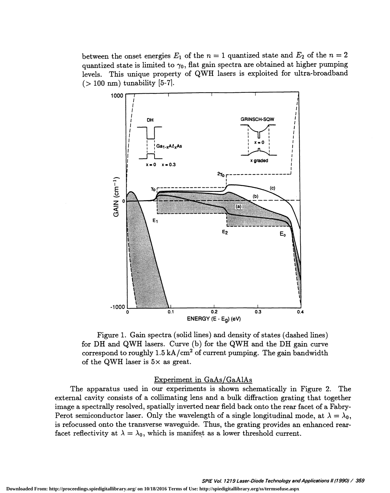between the onset energies  $E_1$  of the  $n = 1$  quantized state and  $E_2$  of the  $n = 2$ quantized state is limited to  $\gamma_0$ , flat gain spectra are obtained at higher pumping levels. This unique property of QWH lasers is exploited for ultra-broadband  $(>100 \text{ nm})$  tunability [5-7].



Figure 1. Gain spectra (solid lines) and density of states (dashed lines) for DII and QWH lasers. Curve (b) for the QWH and the DII gain curve correspond to roughly  $1.5 \text{ kA/cm}^2$  of current pumping. The gain bandwidth of the QWH laser is  $5\times$  as great.

Experiment in  $GaAs/GaAlAs$ <br>The apparatus used in our experiments is shown schematically in Figure 2. The external cavity consists of a collimating lens and a bulk diffraction grating that together image a spectrally resolved, spatially inverted near field back onto the rear facet of a Fabry-Perot semiconductor laser. Only the wavelength of a single longitudinal mode, at  $\lambda = \lambda_0$ , is refocussed onto the transverse waveguide. Thus, the grating provides an enhanced rearfacet reflectivity at  $\lambda = \lambda_0$ , which is manifest as a lower threshold current.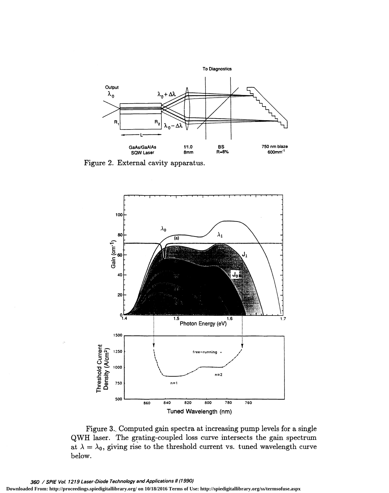

Figure 2. External cavity apparatus.



Figure 3.. Computed gain spectra at increasing pump levels for a single QWH laser. The grating-coupled loss curve intersects the gain spectrum at  $\lambda = \lambda_0$ , giving rise to the threshold current vs. tuned wavelength curve below.

**Downloaded From: http://proceedings.spiedigitallibrary.org/ on 10/18/2016 Terms of Use: http://spiedigitallibrary.org/ss/termsofuse.aspx**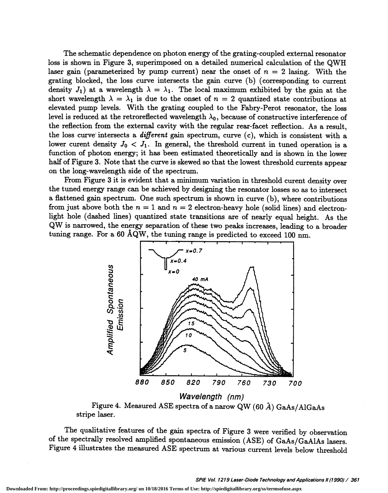The schematic dependence on photon energy of the grating-coupled external resonator loss is shown in Figure 3, superimposed on a detailed numerical calculation of the QWH laser gain (parameterized by pump current) near the onset of  $n = 2$  lasing. With the grating blocked, the loss curve intersects the gain curve (b) (corresponding to current density  $J_1$ ) at a wavelength  $\lambda = \lambda_1$ . The local maximum exhibited by the gain at the short wavelength  $\lambda = \lambda_1$  is due to the onset of  $n = 2$  quantized state contributions at elevated pump levels. With the grating coupled to the Fabry-Perot resonator, the loss level is reduced at the retroreflected wavelength  $\lambda_0$ , because of constructive interference of the reflection from the external cavity with the regular rear-facet reflection. As a result, the loss curve intersects a different gain spectrum, curve (c), which is consistent with a lower curent density  $J_0 < J_1$ . In general, the threshold current in tuned operation is a function of photon energy; it has been estimated theoretically and is shown in the lower half of Figure 3. Note that the curve is skewed so that the lowest threshold currents appear on the long-wavelength side of the spectrum.

From Figure 3 it is evident that a minimum variation in threshold curent density over the tuned energy range can be achieved by designing the resonator losses so as to intersect a flattened gain spectrum. One such spectrum is shown in curve (b), where contributions from just above both the  $n = 1$  and  $n = 2$  electron-heavy hole (solid lines) and electronlight hole (dashed lines) quantized state transitions are of nearly equal height. As the QW is narrowed, the energy separation of these two peaks increases, leading to a broader tuning range. For a 60 AQW, the tuning range is predicted to exceed 100 nm.



Figure 4. Measured ASE spectra of a narow QW (60  $\AA$ ) GaAs/AlGaAs stripe laser.

The qualitative features of the gain spectra of Figure 3 were verified by observation of the spectrally resolved amplified spontaneous emission (ASE) of GaAs/GaA1As lasers. Figure 4 illustrates the measured ASE spectrum at various current levels below threshold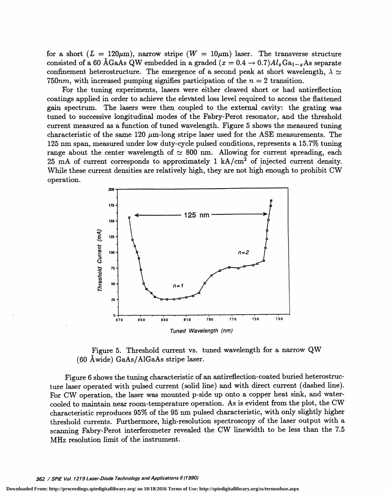for a short  $(L = 120 \mu m)$ , narrow stripe  $(W = 10 \mu m)$  laser. The transverse structure consisted of a 60 ÅGaAs QW embedded in a graded  $(x = 0.4 \rightarrow 0.7)Al_xGa_{1-x}$ As separate confinement heterostructure. The emergence of a second peak at short wavelength,  $\lambda \simeq$ 750 $nm$ , with increased pumping signifies participation of the  $n = 2$  transition.

For the tuning experiments, lasers were either cleaved short or had antireflection coatings applied in order to achieve the elevated loss level required to access the flattened gain spectrum. The lasers were then coupled to the external cavity: the grating was tuned to successive longitudinal modes of the Fabry-Perot resonator, and the threshold current measured as a function of tuned wavelength. Figure 5 shows the measured tuning characteristic of the same 120  $\mu$ m-long stripe laser used for the ASE measurements. The 125 nm span, measured under low duty-cycle pulsed conditions, represents a 15.7% tuning range about the center wavelength of  $\simeq 800$  nm. Allowing for current spreading, each 25 mA of current corresponds to approximately 1  $kA/cm<sup>2</sup>$  of injected current density. While these current densities are relatively high, they are not high enough to prohibit CW operation.





Figure 6 shows the tuning characteristic of an antireflection-coated buried heterostructure laser operated with pulsed current (solid line) and with direct current (dashed line). For CW operation, the laser was mounted p-side up onto a copper heat sink, and watercooled to maintain near room-temperature operation. As is evident from the plot, the CW characteristic reproduces 95% of the 95 nm pulsed characteristic, with only slightly higher threshold currents. Furthermore, high-resolution spectroscopy of the laser output with a scanning Fabry-Perot interferometer revealed the CW linewidth to be less than the 7.5 MHz resolution limit of the instrument.

**Downloaded From: http://proceedings.spiedigitallibrary.org/ on 10/18/2016 Terms of Use: http://spiedigitallibrary.org/ss/termsofuse.aspx**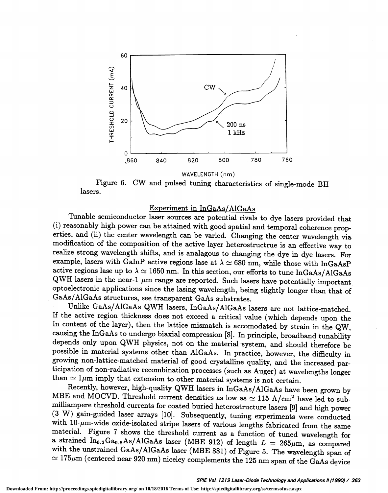

WAVELENGTH (nm)

Figure 6. CW and pulsed tuning characteristics of single-mode BH lasers.

### Experiment in InGaAs/AlGaAs

Tunable semiconductor laser sources are potential rivals to dye lasers provided that (i) reasonably high power can be attained with good spatial and temporal coherence properties, and (ii) the center wavelength can be varied. Changing the center wavelength via modification of the composition of the active layer heterostructrue is an effective way to realize strong wavelength shifts, and is analagous to changing the dye in dye lasers. For example, lasers with GaInP active regions lase at  $\lambda \simeq 680$  nm, while those with InGaAsP active regions lase up to  $\lambda \simeq 1650$  nm. In this section, our efforts to tune InGaAs/AlGaAs QWH lasers in the near-1  $\mu$ m range are reported. Such lasers have potentially important optoelectronic applications since the lasing wavelength, being slightly longer than that of GaAs/AlGaAs structures, see transparent GaAs substrates.

Unlike GaAs/AlGaAs QWH lasers, InGaAs/AlGaAs lasers are not lattice-matched.<br>If the active region thickness does not exceed a critical value (which depends upon the In content of the layer), then the lattice mismatch is accomodated by strain in the QW, causing the InGaAs to undergo biaxial compression [8]. In principle, broadband tunability depends only upon QWH physics, not on the material system, and should therefore be possible in material systems other than AlGaAs. In practice, however, the difficulty in growing non-lattice-matched material of good crystalline quality, and the increased participation of non-radiative recombination processes (such as Auger) at wavelengths longer than  $\simeq 1\mu$ m imply that extension to other material systems is not certain.<br>Recently, however, high-quality QWH lasers in InGaAs/AlGaAs have been grown by

MBE and MOCVD. Threshold current densities as low as  $\simeq 115$  A/cm<sup>2</sup> have led to sub-<br>milliampere threshold currents for coated buried heterostructure lasers [9] and high power (3 W) gain-guided laser arrays [10]. Subsequently, tuning experiments were conducted with 10- $\mu$ m-wide oxide-isolated stripe lasers of various lengths fabricated from the same material. Figure 7 shows the threshold current as a function of tuned wavelength for<br>a strained  $In_{0.2}Ga_{0.8}As/AlGaAs$  laser (MBE 912) of length  $L = 265 \mu m$ , as compared<br>with the unstrained GaAs/AlGaAs laser (MBE 881) of Fig  $\approx 175\mu$ m (centered near 920 nm) niceley complements the 125 nm span of the GaAs device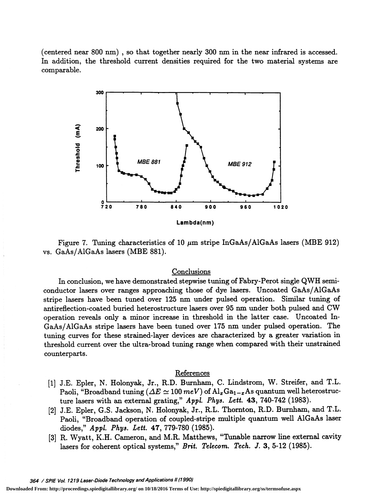(centered near 800 nm), so that together nearly 300 nm in the near infrared is accessed. In addition, the threshold current densities required for the two material systems are comparable.



Figure 7. Tuning characteristics of 10  $\mu$ m stripe InGaAs/AlGaAs lasers (MBE 912) vs. GaAs/A1GaAs lasers (MBE 881).

# **Conclusions**

In conclusion, we have demonstrated stepwise tuning of Fabry-Perot single QWH semiconductor lasers over ranges approaching those of dye lasers. Uncoated GaAs/AlGaAs stripe lasers have been tuned over 125 nm under pulsed operation. Similar tuning of antireflection-coated buried heterostructure lasers over 95 nm under both pulsed and CW operation reveals only a minor increase in threshold in the latter case. Uncoated In-GaAs/A1GaAs stripe lasers have been tuned over 175 nm under pulsed operation. The tuning curves for these strained-layer devices are characterized by a greater variation in threshold current over the ultra-broad tuning range when compared with their unstrained counterparts.

# References

- [1] J.E. Epler, N. Holonyak, Jr., R.D. Burnham, C. Lindstrom, W. Streifer, and T.L. Paoli, "Broadband tuning ( $\Delta E \simeq 100$  meV) of  $\text{Al}_x\text{Ga}_{1-x}$  As quantum well heterostructure lasers with an external grating," Appl. Phys. Lett. 43, 740-742 (1983).
- [2] J.E. Epler, G.S. Jackson, N. Holonyak, Jr., R.L. Thornton, R.D. Burnham, and T.L. Paoli, "Broadband operation of coupled-stripe multiple quantum well A1GaAs laser diodes," Appl. Phys. Lett. 47, 779-780 (1985).
- [3] R. Wyatt, K.H. Cameron, and M.R. Matthews, "Tunable narrow line external cavity lasers for coherent optical systems,"  $Brit.$  Telecom. Tech. J. 3, 5-12 (1985).

**Downloaded From: http://proceedings.spiedigitallibrary.org/ on 10/18/2016 Terms of Use: http://spiedigitallibrary.org/ss/termsofuse.aspx**